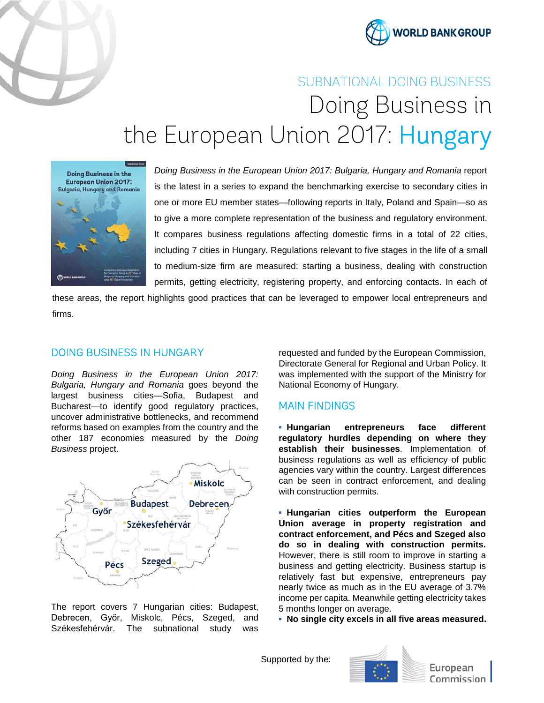



# SUBNATIONAL DOING BUSINESS Doing Business in the European Union 2017: Hungary



*Doing Business in the European Union 2017: Bulgaria, Hungary and Romania* report is the latest in a series to expand the benchmarking exercise to secondary cities in one or more EU member states—following reports in Italy, Poland and Spain—so as to give a more complete representation of the business and regulatory environment. It compares business regulations affecting domestic firms in a total of 22 cities, including 7 cities in Hungary. Regulations relevant to five stages in the life of a small to medium-size firm are measured: starting a business, dealing with construction permits, getting electricity, registering property, and enforcing contacts. In each of

these areas, the report highlights good practices that can be leveraged to empower local entrepreneurs and firms.

### DOING BUSINESS IN HUNGARY

*Doing Business in the European Union 2017: Bulgaria, Hungary and Romania* goes beyond the largest business cities—Sofia, Budapest and Bucharest—to identify good regulatory practices, uncover administrative bottlenecks, and recommend reforms based on examples from the country and the other 187 economies measured by the *Doing Business* project.



The report covers 7 Hungarian cities: Budapest, Debrecen, Győr, Miskolc, Pécs, Szeged, and Székesfehérvár. The subnational study was

requested and funded by the European Commission, Directorate General for Regional and Urban Policy. It was implemented with the support of the Ministry for National Economy of Hungary.

## MAIN FINDINGS

**▪ Hungarian entrepreneurs face different regulatory hurdles depending on where they establish their businesses**. Implementation of business regulations as well as efficiency of public agencies vary within the country. Largest differences can be seen in contract enforcement, and dealing with construction permits.

**▪ Hungarian cities outperform the European Union average in property registration and contract enforcement, and Pécs and Szeged also do so in dealing with construction permits.** However, there is still room to improve in starting a business and getting electricity. Business startup is relatively fast but expensive, entrepreneurs pay nearly twice as much as in the EU average of 3.7% income per capita. Meanwhile getting electricity takes 5 months longer on average.

**▪ No single city excels in all five areas measured.**